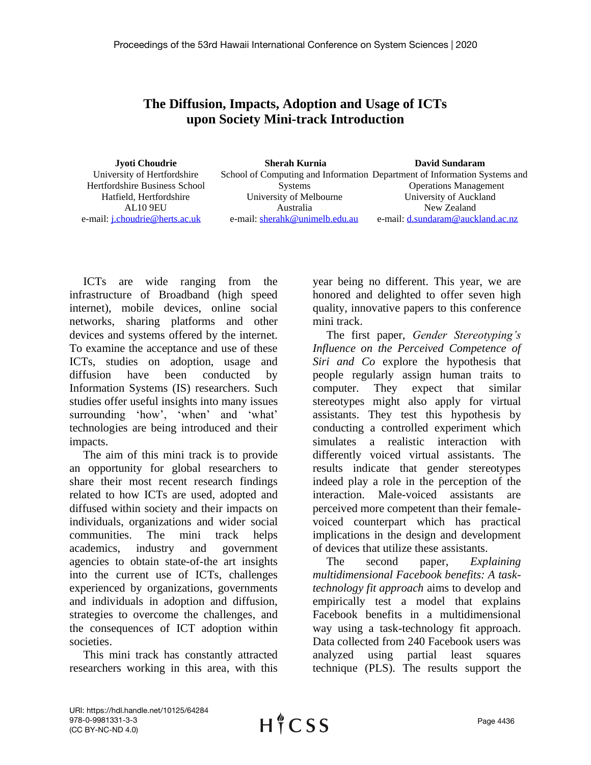## **The Diffusion, Impacts, Adoption and Usage of ICTs upon Society Mini-track Introduction**

| Jyoti Choudrie                        | <b>Sherah Kurnia</b>           | <b>David Sundaram</b>                                                     |
|---------------------------------------|--------------------------------|---------------------------------------------------------------------------|
| University of Hertfordshire           |                                | School of Computing and Information Department of Information Systems and |
| Hertfordshire Business School         | <b>Systems</b>                 | <b>Operations Management</b>                                              |
| Hatfield, Hertfordshire               | University of Melbourne        | University of Auckland                                                    |
| <b>AL10 9EU</b>                       | Australia                      | New Zealand                                                               |
| e-mail: <i>i.choudrie@herts.ac.uk</i> | e-mail: sherahk@unimelb.edu.au | e-mail: d.sundaram@auckland.ac.nz                                         |

ICTs are wide ranging from the infrastructure of Broadband (high speed internet), mobile devices, online social networks, sharing platforms and other devices and systems offered by the internet. To examine the acceptance and use of these ICTs, studies on adoption, usage and diffusion have been conducted by Information Systems (IS) researchers. Such studies offer useful insights into many issues surrounding 'how', 'when' and 'what' technologies are being introduced and their impacts.

The aim of this mini track is to provide an opportunity for global researchers to share their most recent research findings related to how ICTs are used, adopted and diffused within society and their impacts on individuals, organizations and wider social communities. The mini track helps academics, industry and government agencies to obtain state-of-the art insights into the current use of ICTs, challenges experienced by organizations, governments and individuals in adoption and diffusion, strategies to overcome the challenges, and the consequences of ICT adoption within societies.

This mini track has constantly attracted researchers working in this area, with this

year being no different. This year, we are honored and delighted to offer seven high quality, innovative papers to this conference mini track.

The first paper, *Gender Stereotyping's Influence on the Perceived Competence of Siri and Co* explore the hypothesis that people regularly assign human traits to computer. They expect that similar stereotypes might also apply for virtual assistants. They test this hypothesis by conducting a controlled experiment which simulates a realistic interaction with differently voiced virtual assistants. The results indicate that gender stereotypes indeed play a role in the perception of the interaction. Male-voiced assistants are perceived more competent than their femalevoiced counterpart which has practical implications in the design and development of devices that utilize these assistants.

The second paper, *Explaining multidimensional Facebook benefits: A tasktechnology fit approach* aims to develop and empirically test a model that explains Facebook benefits in a multidimensional way using a task-technology fit approach. Data collected from 240 Facebook users was analyzed using partial least squares technique (PLS). The results support the